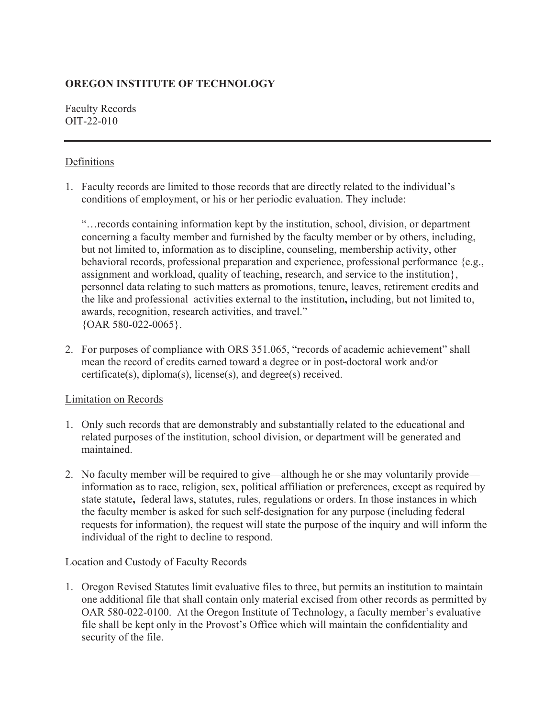# **OREGON INSTITUTE OF TECHNOLOGY**

Faculty Records OIT-22-010

## Definitions

1. Faculty records are limited to those records that are directly related to the individual's conditions of employment, or his or her periodic evaluation. They include:

"…records containing information kept by the institution, school, division, or department concerning a faculty member and furnished by the faculty member or by others, including, but not limited to, information as to discipline, counseling, membership activity, other behavioral records, professional preparation and experience, professional performance {e.g., assignment and workload, quality of teaching, research, and service to the institution}, personnel data relating to such matters as promotions, tenure, leaves, retirement credits and the like and professional activities external to the institution**,** including, but not limited to, awards, recognition, research activities, and travel." {OAR 580-022-0065}.

2. For purposes of compliance with ORS 351.065, "records of academic achievement" shall mean the record of credits earned toward a degree or in post-doctoral work and/or certificate(s), diploma(s), license(s), and degree(s) received.

## Limitation on Records

- 1. Only such records that are demonstrably and substantially related to the educational and related purposes of the institution, school division, or department will be generated and maintained.
- 2. No faculty member will be required to give—although he or she may voluntarily provide information as to race, religion, sex, political affiliation or preferences, except as required by state statute**,** federal laws, statutes, rules, regulations or orders. In those instances in which the faculty member is asked for such self-designation for any purpose (including federal requests for information), the request will state the purpose of the inquiry and will inform the individual of the right to decline to respond.

## Location and Custody of Faculty Records

1. Oregon Revised Statutes limit evaluative files to three, but permits an institution to maintain one additional file that shall contain only material excised from other records as permitted by OAR 580-022-0100. At the Oregon Institute of Technology, a faculty member's evaluative file shall be kept only in the Provost's Office which will maintain the confidentiality and security of the file.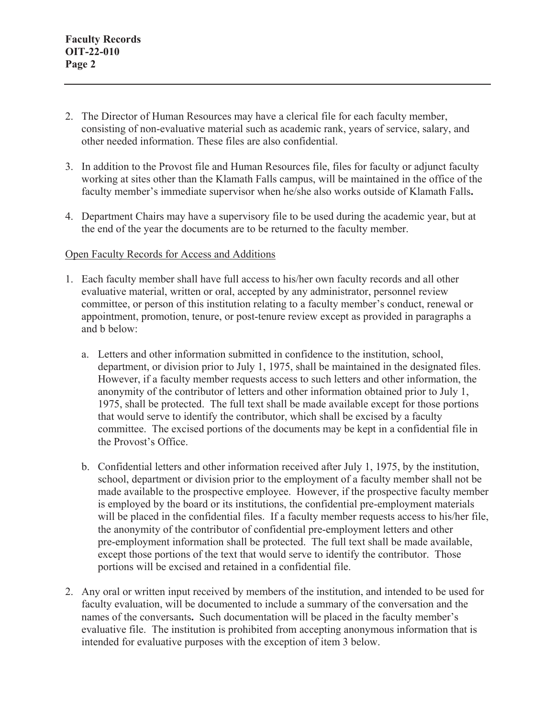- 2. The Director of Human Resources may have a clerical file for each faculty member, consisting of non-evaluative material such as academic rank, years of service, salary, and other needed information. These files are also confidential.
- 3. In addition to the Provost file and Human Resources file, files for faculty or adjunct faculty working at sites other than the Klamath Falls campus, will be maintained in the office of the faculty member's immediate supervisor when he/she also works outside of Klamath Falls**.**
- 4. Department Chairs may have a supervisory file to be used during the academic year, but at the end of the year the documents are to be returned to the faculty member.

#### Open Faculty Records for Access and Additions

- 1. Each faculty member shall have full access to his/her own faculty records and all other evaluative material, written or oral, accepted by any administrator, personnel review committee, or person of this institution relating to a faculty member's conduct, renewal or appointment, promotion, tenure, or post-tenure review except as provided in paragraphs a and b below:
	- a. Letters and other information submitted in confidence to the institution, school, department, or division prior to July 1, 1975, shall be maintained in the designated files. However, if a faculty member requests access to such letters and other information, the anonymity of the contributor of letters and other information obtained prior to July 1, 1975, shall be protected. The full text shall be made available except for those portions that would serve to identify the contributor, which shall be excised by a faculty committee. The excised portions of the documents may be kept in a confidential file in the Provost's Office.
	- b. Confidential letters and other information received after July 1, 1975, by the institution, school, department or division prior to the employment of a faculty member shall not be made available to the prospective employee. However, if the prospective faculty member is employed by the board or its institutions, the confidential pre-employment materials will be placed in the confidential files. If a faculty member requests access to his/her file, the anonymity of the contributor of confidential pre-employment letters and other pre-employment information shall be protected. The full text shall be made available, except those portions of the text that would serve to identify the contributor. Those portions will be excised and retained in a confidential file.
- 2. Any oral or written input received by members of the institution, and intended to be used for faculty evaluation, will be documented to include a summary of the conversation and the names of the conversants**.** Such documentation will be placed in the faculty member's evaluative file. The institution is prohibited from accepting anonymous information that is intended for evaluative purposes with the exception of item 3 below.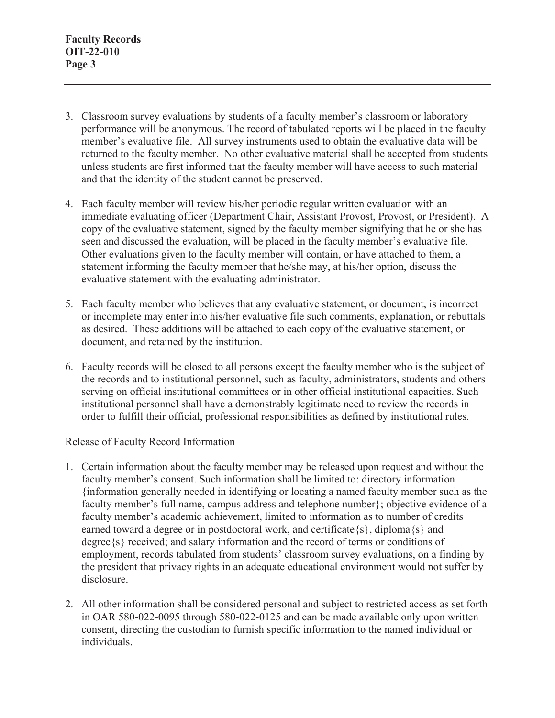- 3. Classroom survey evaluations by students of a faculty member's classroom or laboratory performance will be anonymous. The record of tabulated reports will be placed in the faculty member's evaluative file. All survey instruments used to obtain the evaluative data will be returned to the faculty member. No other evaluative material shall be accepted from students unless students are first informed that the faculty member will have access to such material and that the identity of the student cannot be preserved.
- 4. Each faculty member will review his/her periodic regular written evaluation with an immediate evaluating officer (Department Chair, Assistant Provost, Provost, or President). A copy of the evaluative statement, signed by the faculty member signifying that he or she has seen and discussed the evaluation, will be placed in the faculty member's evaluative file. Other evaluations given to the faculty member will contain, or have attached to them, a statement informing the faculty member that he/she may, at his/her option, discuss the evaluative statement with the evaluating administrator.
- 5. Each faculty member who believes that any evaluative statement, or document, is incorrect or incomplete may enter into his/her evaluative file such comments, explanation, or rebuttals as desired. These additions will be attached to each copy of the evaluative statement, or document, and retained by the institution.
- 6. Faculty records will be closed to all persons except the faculty member who is the subject of the records and to institutional personnel, such as faculty, administrators, students and others serving on official institutional committees or in other official institutional capacities. Such institutional personnel shall have a demonstrably legitimate need to review the records in order to fulfill their official, professional responsibilities as defined by institutional rules.

### Release of Faculty Record Information

- 1. Certain information about the faculty member may be released upon request and without the faculty member's consent. Such information shall be limited to: directory information {information generally needed in identifying or locating a named faculty member such as the faculty member's full name, campus address and telephone number}; objective evidence of a faculty member's academic achievement, limited to information as to number of credits earned toward a degree or in postdoctoral work, and certificate  $\{s\}$ , diploma $\{s\}$  and degree{s} received; and salary information and the record of terms or conditions of employment, records tabulated from students' classroom survey evaluations, on a finding by the president that privacy rights in an adequate educational environment would not suffer by disclosure.
- 2. All other information shall be considered personal and subject to restricted access as set forth in OAR 580-022-0095 through 580-022-0125 and can be made available only upon written consent, directing the custodian to furnish specific information to the named individual or individuals.